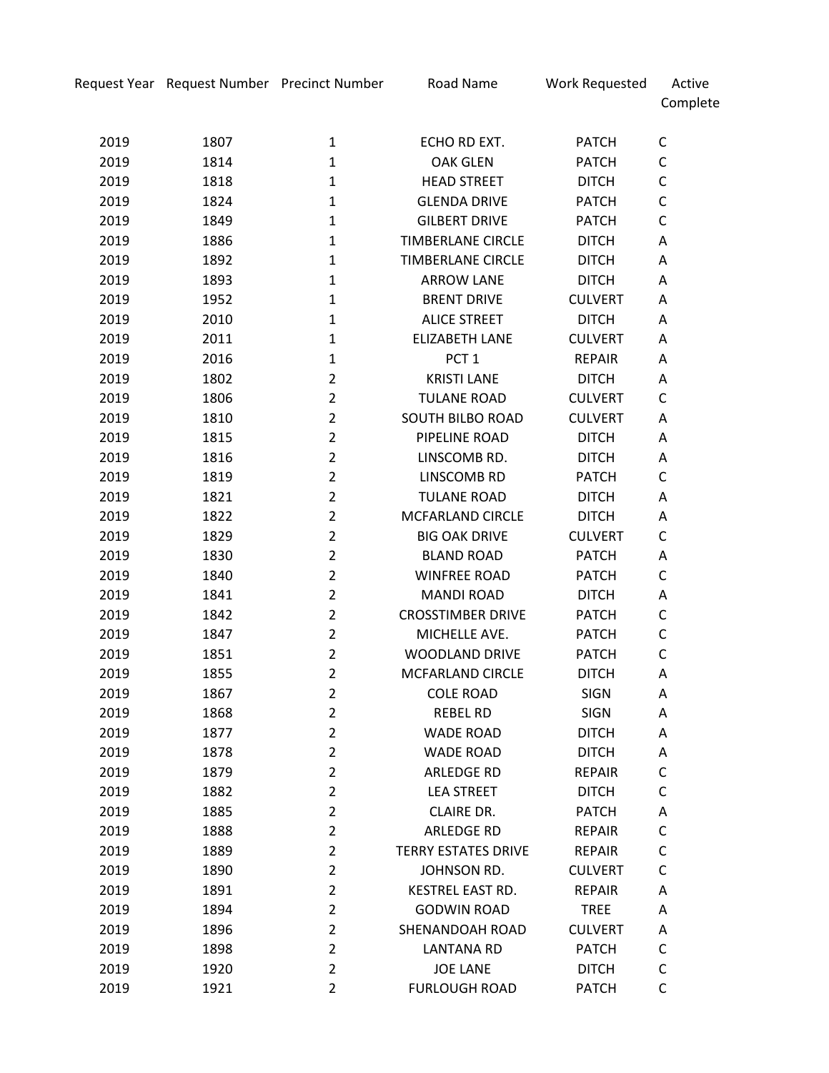Complete

| 2019 | 1807 | 1              | ECHO RD EXT.               | <b>PATCH</b>   | С           |
|------|------|----------------|----------------------------|----------------|-------------|
| 2019 | 1814 | $\mathbf{1}$   | <b>OAK GLEN</b>            | <b>PATCH</b>   | C           |
| 2019 | 1818 | $\mathbf{1}$   | <b>HEAD STREET</b>         | <b>DITCH</b>   | C           |
| 2019 | 1824 | $\mathbf{1}$   | <b>GLENDA DRIVE</b>        | <b>PATCH</b>   | C           |
| 2019 | 1849 | $\mathbf{1}$   | <b>GILBERT DRIVE</b>       | <b>PATCH</b>   | C           |
| 2019 | 1886 | $\mathbf{1}$   | <b>TIMBERLANE CIRCLE</b>   | <b>DITCH</b>   | A           |
| 2019 | 1892 | $\mathbf{1}$   | <b>TIMBERLANE CIRCLE</b>   | <b>DITCH</b>   | Α           |
| 2019 | 1893 | $\mathbf{1}$   | <b>ARROW LANE</b>          | <b>DITCH</b>   | Α           |
| 2019 | 1952 | $\mathbf{1}$   | <b>BRENT DRIVE</b>         | <b>CULVERT</b> | A           |
| 2019 | 2010 | $\mathbf{1}$   | <b>ALICE STREET</b>        | <b>DITCH</b>   | Α           |
| 2019 | 2011 | $\mathbf{1}$   | <b>ELIZABETH LANE</b>      | <b>CULVERT</b> | A           |
| 2019 | 2016 | $\mathbf{1}$   | PCT <sub>1</sub>           | <b>REPAIR</b>  | Α           |
| 2019 | 1802 | $\overline{2}$ | <b>KRISTI LANE</b>         | <b>DITCH</b>   | Α           |
| 2019 | 1806 | $\overline{2}$ | <b>TULANE ROAD</b>         | <b>CULVERT</b> | C           |
| 2019 | 1810 | $\overline{2}$ | <b>SOUTH BILBO ROAD</b>    | <b>CULVERT</b> | Α           |
| 2019 | 1815 | $\overline{2}$ | PIPELINE ROAD              | <b>DITCH</b>   | Α           |
| 2019 | 1816 | $\overline{2}$ | LINSCOMB RD.               | <b>DITCH</b>   | Α           |
| 2019 | 1819 | $\overline{2}$ | LINSCOMB RD                | <b>PATCH</b>   | C           |
| 2019 | 1821 | $\overline{2}$ | <b>TULANE ROAD</b>         | <b>DITCH</b>   | Α           |
| 2019 | 1822 | $\overline{2}$ | <b>MCFARLAND CIRCLE</b>    | <b>DITCH</b>   | Α           |
| 2019 | 1829 | $\overline{2}$ | <b>BIG OAK DRIVE</b>       | <b>CULVERT</b> | C           |
| 2019 | 1830 | $\overline{2}$ | <b>BLAND ROAD</b>          | <b>PATCH</b>   | Α           |
| 2019 | 1840 | $\overline{2}$ | <b>WINFREE ROAD</b>        | <b>PATCH</b>   | C           |
| 2019 | 1841 | $\overline{2}$ | <b>MANDI ROAD</b>          | <b>DITCH</b>   | Α           |
| 2019 | 1842 | $\overline{2}$ | <b>CROSSTIMBER DRIVE</b>   | <b>PATCH</b>   | C           |
| 2019 | 1847 | $\overline{2}$ | MICHELLE AVE.              | PATCH          | $\mathsf C$ |
| 2019 | 1851 | $\overline{2}$ | <b>WOODLAND DRIVE</b>      | <b>PATCH</b>   | C           |
| 2019 | 1855 | $\overline{2}$ | MCFARLAND CIRCLE           | <b>DITCH</b>   | Α           |
| 2019 | 1867 | $\overline{2}$ | <b>COLE ROAD</b>           | <b>SIGN</b>    | Α           |
| 2019 | 1868 | $\overline{2}$ | <b>REBEL RD</b>            | <b>SIGN</b>    | Α           |
| 2019 | 1877 | $\overline{2}$ | <b>WADE ROAD</b>           | <b>DITCH</b>   | Α           |
| 2019 | 1878 | 2              | <b>WADE ROAD</b>           | <b>DITCH</b>   | Α           |
| 2019 | 1879 | $\overline{2}$ | ARLEDGE RD                 | <b>REPAIR</b>  | C           |
| 2019 | 1882 | $\overline{2}$ | <b>LEA STREET</b>          | <b>DITCH</b>   | C           |
| 2019 | 1885 | $\overline{2}$ | <b>CLAIRE DR.</b>          | <b>PATCH</b>   | Α           |
| 2019 | 1888 | $\overline{2}$ | <b>ARLEDGE RD</b>          | <b>REPAIR</b>  | C           |
| 2019 | 1889 | $\overline{2}$ | <b>TERRY ESTATES DRIVE</b> | <b>REPAIR</b>  | C           |
| 2019 | 1890 | $\overline{2}$ | JOHNSON RD.                | <b>CULVERT</b> | C           |
| 2019 | 1891 | $\overline{2}$ | <b>KESTREL EAST RD.</b>    | <b>REPAIR</b>  | Α           |
| 2019 | 1894 | $\overline{2}$ | <b>GODWIN ROAD</b>         | <b>TREE</b>    | Α           |
| 2019 | 1896 | $\overline{2}$ | SHENANDOAH ROAD            | <b>CULVERT</b> | Α           |
| 2019 | 1898 | $\overline{2}$ | <b>LANTANA RD</b>          | <b>PATCH</b>   | C           |
| 2019 | 1920 | $\overline{2}$ | <b>JOE LANE</b>            | <b>DITCH</b>   | C           |
| 2019 | 1921 | $\overline{2}$ | <b>FURLOUGH ROAD</b>       | <b>PATCH</b>   | C           |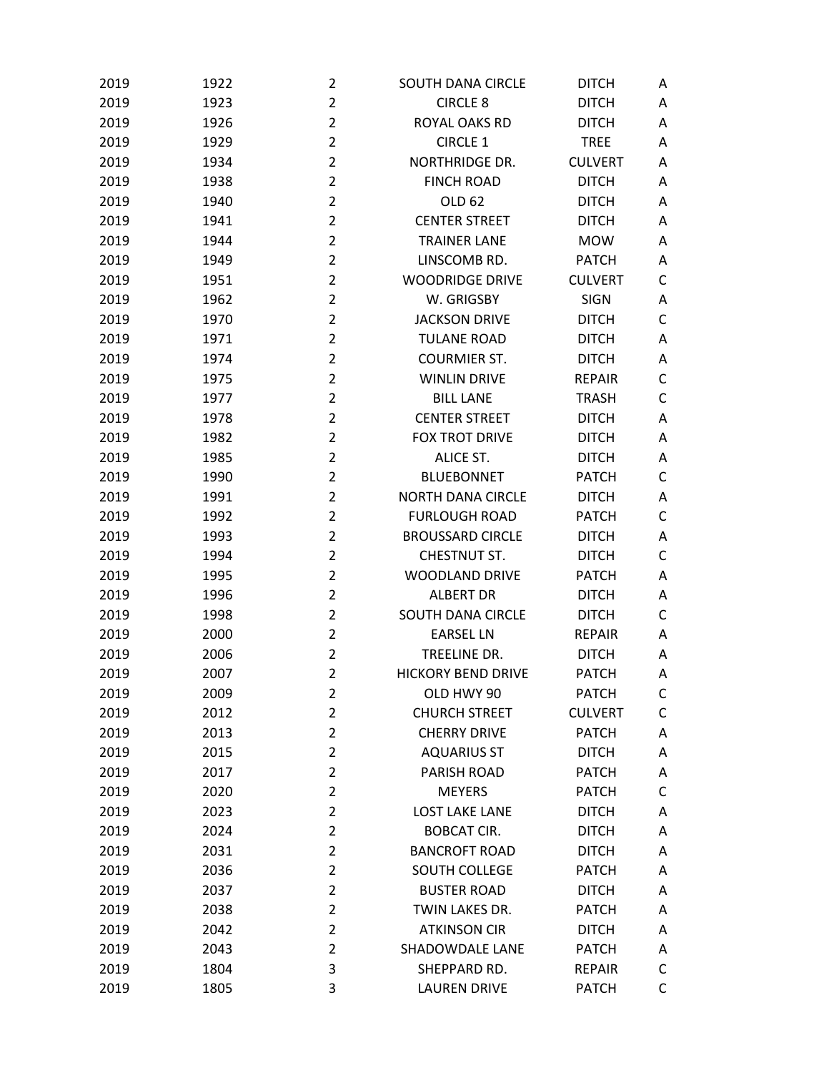| 2019 | 1922 | $\overline{2}$ | <b>SOUTH DANA CIRCLE</b>  | <b>DITCH</b>   | A |
|------|------|----------------|---------------------------|----------------|---|
| 2019 | 1923 | $\overline{2}$ | <b>CIRCLE 8</b>           | <b>DITCH</b>   | Α |
| 2019 | 1926 | $\overline{2}$ | ROYAL OAKS RD             | <b>DITCH</b>   | A |
| 2019 | 1929 | $\overline{2}$ | <b>CIRCLE 1</b>           | <b>TREE</b>    | A |
| 2019 | 1934 | $\overline{2}$ | <b>NORTHRIDGE DR.</b>     | <b>CULVERT</b> | A |
| 2019 | 1938 | $\overline{2}$ | <b>FINCH ROAD</b>         | <b>DITCH</b>   | Α |
| 2019 | 1940 | $\overline{2}$ | OLD 62                    | <b>DITCH</b>   | A |
| 2019 | 1941 | $\overline{2}$ | <b>CENTER STREET</b>      | <b>DITCH</b>   | Α |
| 2019 | 1944 | $\overline{2}$ | <b>TRAINER LANE</b>       | <b>MOW</b>     | Α |
| 2019 | 1949 | $\overline{2}$ | LINSCOMB RD.              | <b>PATCH</b>   | A |
| 2019 | 1951 | $\overline{2}$ | <b>WOODRIDGE DRIVE</b>    | <b>CULVERT</b> | C |
| 2019 | 1962 | $\overline{2}$ | W. GRIGSBY                | <b>SIGN</b>    | Α |
| 2019 | 1970 | $\overline{2}$ | <b>JACKSON DRIVE</b>      | <b>DITCH</b>   | C |
| 2019 | 1971 | $\overline{2}$ | <b>TULANE ROAD</b>        | <b>DITCH</b>   | Α |
| 2019 | 1974 | $\overline{2}$ | <b>COURMIER ST.</b>       | <b>DITCH</b>   | Α |
| 2019 | 1975 | $\overline{2}$ | <b>WINLIN DRIVE</b>       | <b>REPAIR</b>  | C |
| 2019 | 1977 | $\overline{2}$ | <b>BILL LANE</b>          | <b>TRASH</b>   | C |
| 2019 | 1978 | $\overline{2}$ | <b>CENTER STREET</b>      | <b>DITCH</b>   | Α |
| 2019 | 1982 | $\overline{2}$ | <b>FOX TROT DRIVE</b>     | <b>DITCH</b>   | A |
| 2019 | 1985 | $\overline{2}$ | <b>ALICE ST.</b>          | <b>DITCH</b>   | Α |
| 2019 | 1990 | $\overline{2}$ | <b>BLUEBONNET</b>         | <b>PATCH</b>   | C |
| 2019 | 1991 | $\overline{2}$ | <b>NORTH DANA CIRCLE</b>  | <b>DITCH</b>   | Α |
| 2019 | 1992 | $\overline{2}$ | <b>FURLOUGH ROAD</b>      | <b>PATCH</b>   | C |
| 2019 | 1993 | $\overline{2}$ | <b>BROUSSARD CIRCLE</b>   | <b>DITCH</b>   | Α |
| 2019 | 1994 | $\overline{2}$ | CHESTNUT ST.              | <b>DITCH</b>   | C |
| 2019 | 1995 | $\overline{2}$ | <b>WOODLAND DRIVE</b>     | <b>PATCH</b>   | A |
| 2019 | 1996 | $\overline{2}$ | <b>ALBERT DR</b>          | <b>DITCH</b>   | Α |
| 2019 | 1998 | $\overline{2}$ | <b>SOUTH DANA CIRCLE</b>  | <b>DITCH</b>   | C |
| 2019 | 2000 | $\overline{2}$ | <b>EARSEL LN</b>          | <b>REPAIR</b>  | A |
| 2019 | 2006 | $\overline{2}$ | TREELINE DR.              | <b>DITCH</b>   | A |
| 2019 | 2007 | $\overline{2}$ | <b>HICKORY BEND DRIVE</b> | <b>PATCH</b>   | Α |
| 2019 | 2009 | $\overline{2}$ | OLD HWY 90                | <b>PATCH</b>   | C |
| 2019 | 2012 | $\overline{2}$ | <b>CHURCH STREET</b>      | <b>CULVERT</b> | C |
| 2019 | 2013 | $\overline{2}$ | <b>CHERRY DRIVE</b>       | <b>PATCH</b>   | Α |
| 2019 | 2015 | $\overline{2}$ | <b>AQUARIUS ST</b>        | <b>DITCH</b>   | A |
| 2019 | 2017 | $\overline{2}$ | PARISH ROAD               | <b>PATCH</b>   | Α |
| 2019 | 2020 | $\overline{2}$ | <b>MEYERS</b>             | <b>PATCH</b>   | C |
| 2019 | 2023 | $\overline{2}$ | <b>LOST LAKE LANE</b>     | <b>DITCH</b>   | Α |
| 2019 | 2024 | $\overline{2}$ | <b>BOBCAT CIR.</b>        | <b>DITCH</b>   | Α |
| 2019 | 2031 | $\overline{2}$ | <b>BANCROFT ROAD</b>      | <b>DITCH</b>   | A |
| 2019 | 2036 | $\overline{2}$ | SOUTH COLLEGE             | <b>PATCH</b>   | A |
| 2019 | 2037 | $\overline{2}$ | <b>BUSTER ROAD</b>        | <b>DITCH</b>   | Α |
| 2019 | 2038 | $\overline{2}$ | TWIN LAKES DR.            | <b>PATCH</b>   | Α |
| 2019 | 2042 | $\overline{2}$ | <b>ATKINSON CIR</b>       | <b>DITCH</b>   | Α |
| 2019 | 2043 | $\overline{2}$ | <b>SHADOWDALE LANE</b>    | <b>PATCH</b>   | Α |
| 2019 | 1804 | 3              | SHEPPARD RD.              | <b>REPAIR</b>  | C |
| 2019 | 1805 | 3              | <b>LAUREN DRIVE</b>       | <b>PATCH</b>   | C |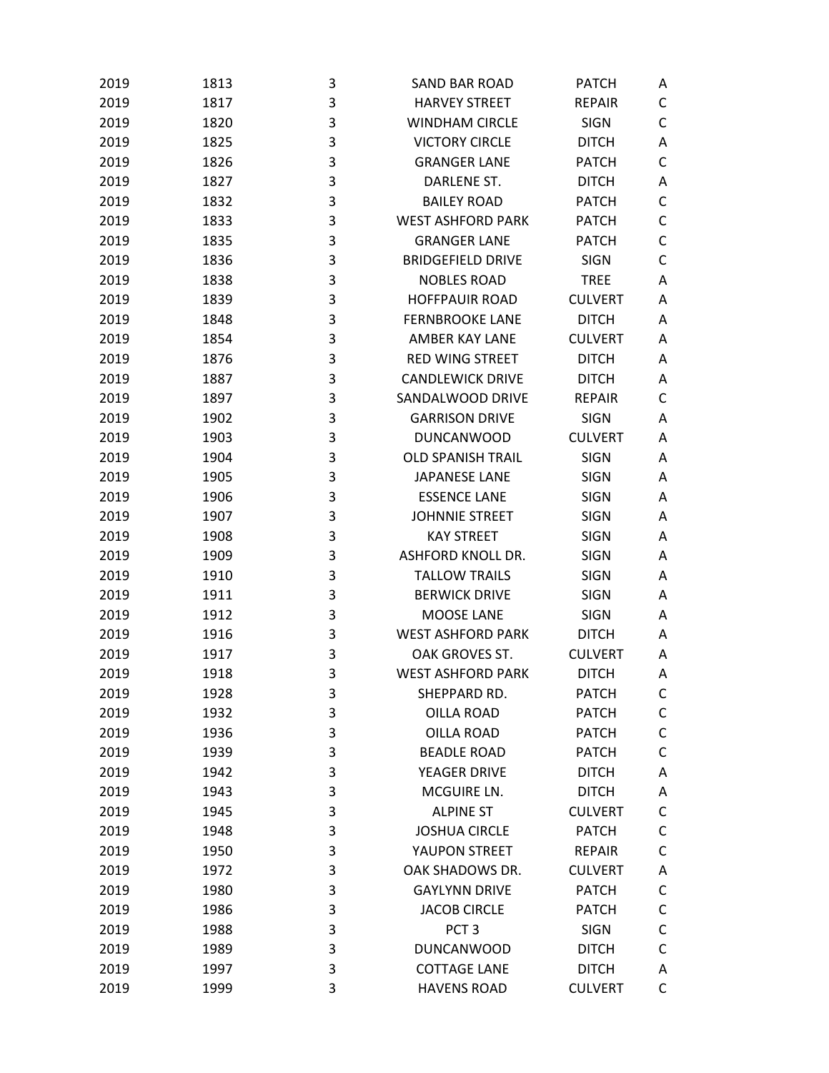| 2019 | 1813 | 3 | <b>SAND BAR ROAD</b>     | <b>PATCH</b>   | Α |
|------|------|---|--------------------------|----------------|---|
| 2019 | 1817 | 3 | <b>HARVEY STREET</b>     | <b>REPAIR</b>  | C |
| 2019 | 1820 | 3 | <b>WINDHAM CIRCLE</b>    | <b>SIGN</b>    | C |
| 2019 | 1825 | 3 | <b>VICTORY CIRCLE</b>    | <b>DITCH</b>   | Α |
| 2019 | 1826 | 3 | <b>GRANGER LANE</b>      | <b>PATCH</b>   | C |
| 2019 | 1827 | 3 | DARLENE ST.              | <b>DITCH</b>   | Α |
| 2019 | 1832 | 3 | <b>BAILEY ROAD</b>       | <b>PATCH</b>   | C |
| 2019 | 1833 | 3 | <b>WEST ASHFORD PARK</b> | <b>PATCH</b>   | C |
| 2019 | 1835 | 3 | <b>GRANGER LANE</b>      | <b>PATCH</b>   | C |
| 2019 | 1836 | 3 | <b>BRIDGEFIELD DRIVE</b> | <b>SIGN</b>    | C |
| 2019 | 1838 | 3 | <b>NOBLES ROAD</b>       | <b>TREE</b>    | Α |
| 2019 | 1839 | 3 | <b>HOFFPAUIR ROAD</b>    | <b>CULVERT</b> | A |
| 2019 | 1848 | 3 | <b>FERNBROOKE LANE</b>   | <b>DITCH</b>   | Α |
| 2019 | 1854 | 3 | AMBER KAY LANE           | <b>CULVERT</b> | A |
| 2019 | 1876 | 3 | <b>RED WING STREET</b>   | <b>DITCH</b>   | A |
| 2019 | 1887 | 3 | <b>CANDLEWICK DRIVE</b>  | <b>DITCH</b>   | Α |
| 2019 | 1897 | 3 | SANDALWOOD DRIVE         | <b>REPAIR</b>  | C |
| 2019 | 1902 | 3 | <b>GARRISON DRIVE</b>    | <b>SIGN</b>    | Α |
| 2019 | 1903 | 3 | <b>DUNCANWOOD</b>        | <b>CULVERT</b> | A |
| 2019 | 1904 | 3 | <b>OLD SPANISH TRAIL</b> | <b>SIGN</b>    | Α |
| 2019 | 1905 | 3 | <b>JAPANESE LANE</b>     | <b>SIGN</b>    | Α |
| 2019 | 1906 | 3 | <b>ESSENCE LANE</b>      | <b>SIGN</b>    | Α |
| 2019 | 1907 | 3 | <b>JOHNNIE STREET</b>    | <b>SIGN</b>    | Α |
| 2019 | 1908 | 3 | <b>KAY STREET</b>        | <b>SIGN</b>    | A |
| 2019 | 1909 | 3 | <b>ASHFORD KNOLL DR.</b> | <b>SIGN</b>    | Α |
| 2019 | 1910 | 3 | <b>TALLOW TRAILS</b>     | <b>SIGN</b>    | Α |
| 2019 | 1911 | 3 | <b>BERWICK DRIVE</b>     | <b>SIGN</b>    | Α |
| 2019 | 1912 | 3 | MOOSE LANE               | <b>SIGN</b>    | Α |
| 2019 | 1916 | 3 | <b>WEST ASHFORD PARK</b> | <b>DITCH</b>   | Α |
| 2019 | 1917 | 3 | OAK GROVES ST.           | <b>CULVERT</b> | A |
| 2019 | 1918 | 3 | <b>WEST ASHFORD PARK</b> | <b>DITCH</b>   | Α |
| 2019 | 1928 | 3 | SHEPPARD RD.             | <b>PATCH</b>   | C |
| 2019 | 1932 | 3 | <b>OILLA ROAD</b>        | <b>PATCH</b>   | C |
| 2019 | 1936 | 3 | <b>OILLA ROAD</b>        | <b>PATCH</b>   | C |
| 2019 | 1939 | 3 | <b>BEADLE ROAD</b>       | <b>PATCH</b>   | C |
| 2019 | 1942 | 3 | YEAGER DRIVE             | <b>DITCH</b>   | Α |
| 2019 | 1943 | 3 | MCGUIRE LN.              | <b>DITCH</b>   | Α |
| 2019 | 1945 | 3 | <b>ALPINE ST</b>         | <b>CULVERT</b> | C |
| 2019 | 1948 | 3 | <b>JOSHUA CIRCLE</b>     | <b>PATCH</b>   | C |
| 2019 | 1950 | 3 | YAUPON STREET            | <b>REPAIR</b>  | C |
| 2019 | 1972 | 3 | OAK SHADOWS DR.          | <b>CULVERT</b> | Α |
| 2019 | 1980 | 3 | <b>GAYLYNN DRIVE</b>     | <b>PATCH</b>   | C |
| 2019 | 1986 | 3 | <b>JACOB CIRCLE</b>      | <b>PATCH</b>   | C |
| 2019 | 1988 | 3 | PCT <sub>3</sub>         | <b>SIGN</b>    | C |
| 2019 | 1989 | 3 | <b>DUNCANWOOD</b>        | <b>DITCH</b>   | C |
| 2019 | 1997 | 3 | <b>COTTAGE LANE</b>      | <b>DITCH</b>   | Α |
| 2019 | 1999 | 3 | <b>HAVENS ROAD</b>       | <b>CULVERT</b> | C |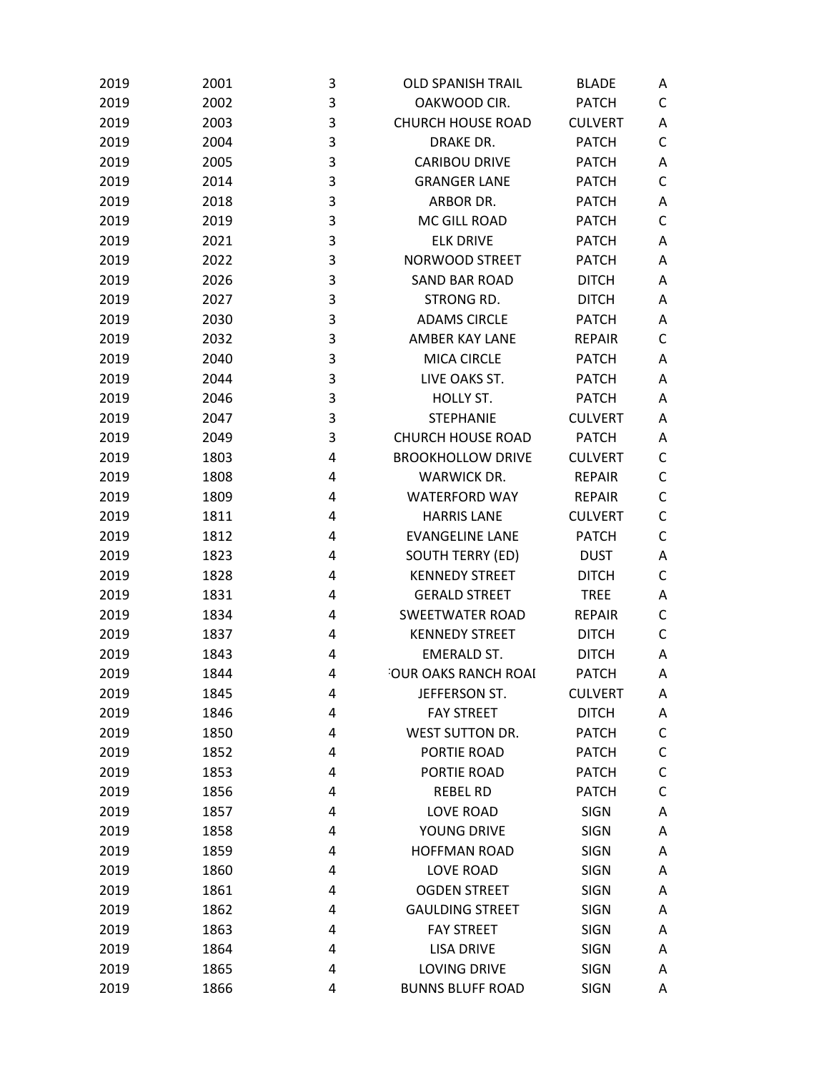| 2019 | 2001 | 3 | <b>OLD SPANISH TRAIL</b> | <b>BLADE</b>   | Α |
|------|------|---|--------------------------|----------------|---|
| 2019 | 2002 | 3 | OAKWOOD CIR.             | <b>PATCH</b>   | C |
| 2019 | 2003 | 3 | <b>CHURCH HOUSE ROAD</b> | <b>CULVERT</b> | Α |
| 2019 | 2004 | 3 | DRAKE DR.                | <b>PATCH</b>   | С |
| 2019 | 2005 | 3 | <b>CARIBOU DRIVE</b>     | <b>PATCH</b>   | Α |
| 2019 | 2014 | 3 | <b>GRANGER LANE</b>      | <b>PATCH</b>   | C |
| 2019 | 2018 | 3 | ARBOR DR.                | <b>PATCH</b>   | Α |
| 2019 | 2019 | 3 | MC GILL ROAD             | <b>PATCH</b>   | C |
| 2019 | 2021 | 3 | <b>ELK DRIVE</b>         | <b>PATCH</b>   | A |
| 2019 | 2022 | 3 | <b>NORWOOD STREET</b>    | <b>PATCH</b>   | Α |
| 2019 | 2026 | 3 | <b>SAND BAR ROAD</b>     | <b>DITCH</b>   | Α |
| 2019 | 2027 | 3 | STRONG RD.               | <b>DITCH</b>   | Α |
| 2019 | 2030 | 3 | <b>ADAMS CIRCLE</b>      | <b>PATCH</b>   | Α |
| 2019 | 2032 | 3 | <b>AMBER KAY LANE</b>    | <b>REPAIR</b>  | С |
| 2019 | 2040 | 3 | <b>MICA CIRCLE</b>       | <b>PATCH</b>   | A |
| 2019 | 2044 | 3 | LIVE OAKS ST.            | <b>PATCH</b>   | Α |
| 2019 | 2046 | 3 | HOLLY ST.                | <b>PATCH</b>   | Α |
| 2019 | 2047 | 3 | <b>STEPHANIE</b>         | <b>CULVERT</b> | Α |
| 2019 | 2049 | 3 | <b>CHURCH HOUSE ROAD</b> | <b>PATCH</b>   | Α |
| 2019 | 1803 | 4 | <b>BROOKHOLLOW DRIVE</b> | <b>CULVERT</b> | С |
| 2019 | 1808 | 4 | <b>WARWICK DR.</b>       | <b>REPAIR</b>  | С |
| 2019 | 1809 | 4 | <b>WATERFORD WAY</b>     | <b>REPAIR</b>  | C |
| 2019 | 1811 | 4 | <b>HARRIS LANE</b>       | <b>CULVERT</b> | C |
| 2019 | 1812 | 4 | <b>EVANGELINE LANE</b>   | <b>PATCH</b>   | C |
| 2019 | 1823 | 4 | <b>SOUTH TERRY (ED)</b>  | <b>DUST</b>    | Α |
| 2019 | 1828 | 4 | <b>KENNEDY STREET</b>    | <b>DITCH</b>   | C |
| 2019 | 1831 | 4 | <b>GERALD STREET</b>     | <b>TREE</b>    | Α |
| 2019 | 1834 | 4 | <b>SWEETWATER ROAD</b>   | <b>REPAIR</b>  | C |
| 2019 | 1837 | 4 | <b>KENNEDY STREET</b>    | <b>DITCH</b>   | C |
| 2019 | 1843 | 4 | <b>EMERALD ST.</b>       | <b>DITCH</b>   | Α |
| 2019 | 1844 | 4 | OUR OAKS RANCH ROAI      | <b>PATCH</b>   | Α |
| 2019 | 1845 | 4 | JEFFERSON ST.            | <b>CULVERT</b> | Α |
| 2019 | 1846 | 4 | <b>FAY STREET</b>        | <b>DITCH</b>   | Α |
| 2019 | 1850 | 4 | <b>WEST SUTTON DR.</b>   | <b>PATCH</b>   | C |
| 2019 | 1852 | 4 | PORTIE ROAD              | <b>PATCH</b>   | C |
| 2019 | 1853 | 4 | PORTIE ROAD              | <b>PATCH</b>   | C |
| 2019 | 1856 | 4 | <b>REBEL RD</b>          | <b>PATCH</b>   | C |
| 2019 | 1857 | 4 | <b>LOVE ROAD</b>         | <b>SIGN</b>    | Α |
| 2019 | 1858 | 4 | YOUNG DRIVE              | <b>SIGN</b>    | Α |
| 2019 | 1859 | 4 | <b>HOFFMAN ROAD</b>      | <b>SIGN</b>    | Α |
| 2019 | 1860 | 4 | <b>LOVE ROAD</b>         | <b>SIGN</b>    | Α |
| 2019 | 1861 | 4 | <b>OGDEN STREET</b>      | <b>SIGN</b>    | Α |
| 2019 | 1862 | 4 | <b>GAULDING STREET</b>   | <b>SIGN</b>    | Α |
| 2019 | 1863 | 4 | <b>FAY STREET</b>        | <b>SIGN</b>    | Α |
| 2019 | 1864 | 4 | <b>LISA DRIVE</b>        | <b>SIGN</b>    | Α |
| 2019 | 1865 | 4 | <b>LOVING DRIVE</b>      | <b>SIGN</b>    | Α |
| 2019 | 1866 | 4 | <b>BUNNS BLUFF ROAD</b>  | <b>SIGN</b>    | Α |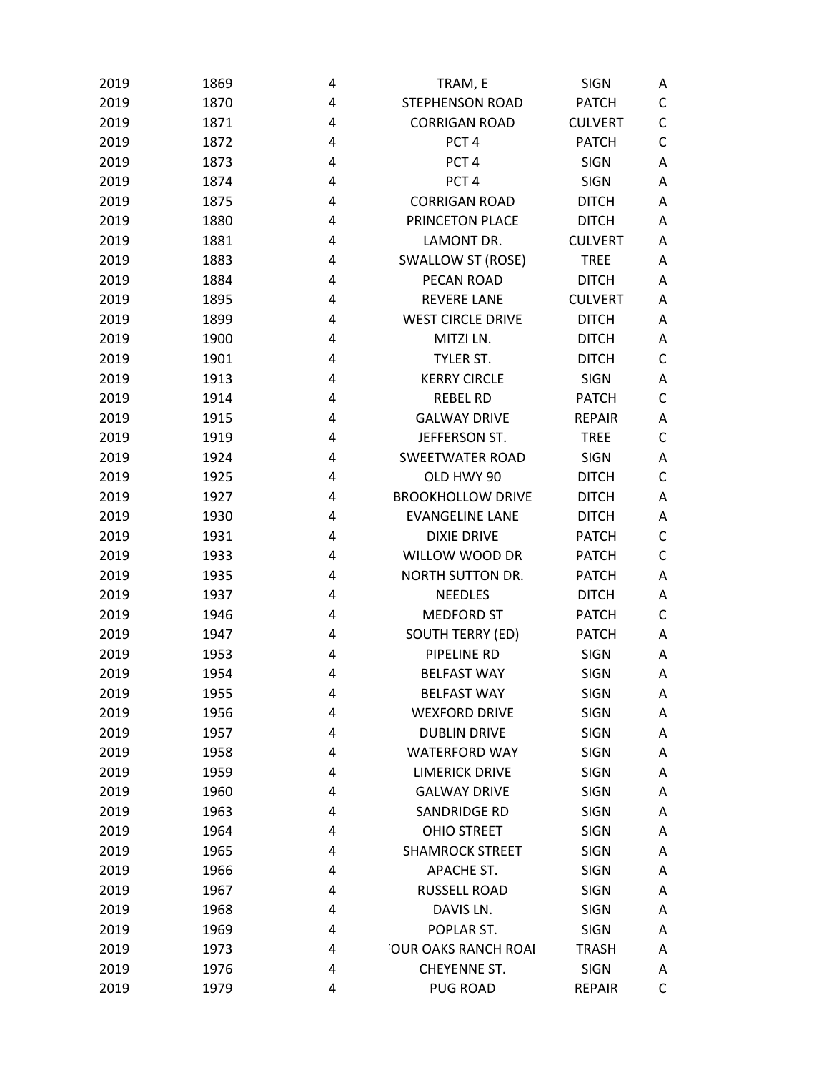| 2019 | 1869 | 4 | TRAM, E                  | <b>SIGN</b>    | A |
|------|------|---|--------------------------|----------------|---|
| 2019 | 1870 | 4 | <b>STEPHENSON ROAD</b>   | <b>PATCH</b>   | С |
| 2019 | 1871 | 4 | <b>CORRIGAN ROAD</b>     | <b>CULVERT</b> | C |
| 2019 | 1872 | 4 | PCT <sub>4</sub>         | <b>PATCH</b>   | C |
| 2019 | 1873 | 4 | PCT <sub>4</sub>         | <b>SIGN</b>    | A |
| 2019 | 1874 | 4 | PCT <sub>4</sub>         | <b>SIGN</b>    | Α |
| 2019 | 1875 | 4 | <b>CORRIGAN ROAD</b>     | <b>DITCH</b>   | Α |
| 2019 | 1880 | 4 | PRINCETON PLACE          | <b>DITCH</b>   | Α |
| 2019 | 1881 | 4 | LAMONT DR.               | <b>CULVERT</b> | Α |
| 2019 | 1883 | 4 | <b>SWALLOW ST (ROSE)</b> | <b>TREE</b>    | A |
| 2019 | 1884 | 4 | PECAN ROAD               | <b>DITCH</b>   | A |
| 2019 | 1895 | 4 | <b>REVERE LANE</b>       | <b>CULVERT</b> | Α |
| 2019 | 1899 | 4 | <b>WEST CIRCLE DRIVE</b> | <b>DITCH</b>   | Α |
| 2019 | 1900 | 4 | MITZI LN.                | <b>DITCH</b>   | Α |
| 2019 | 1901 | 4 | TYLER ST.                | <b>DITCH</b>   | C |
| 2019 | 1913 | 4 | <b>KERRY CIRCLE</b>      | <b>SIGN</b>    | Α |
| 2019 | 1914 | 4 | <b>REBEL RD</b>          | <b>PATCH</b>   | C |
| 2019 | 1915 | 4 | <b>GALWAY DRIVE</b>      | <b>REPAIR</b>  | Α |
| 2019 | 1919 | 4 | JEFFERSON ST.            | <b>TREE</b>    | C |
| 2019 | 1924 | 4 | <b>SWEETWATER ROAD</b>   | <b>SIGN</b>    | Α |
| 2019 | 1925 | 4 | OLD HWY 90               | <b>DITCH</b>   | C |
| 2019 | 1927 | 4 | <b>BROOKHOLLOW DRIVE</b> | <b>DITCH</b>   | Α |
| 2019 | 1930 | 4 | <b>EVANGELINE LANE</b>   | <b>DITCH</b>   | Α |
| 2019 | 1931 | 4 | <b>DIXIE DRIVE</b>       | <b>PATCH</b>   | C |
| 2019 | 1933 | 4 | WILLOW WOOD DR           | <b>PATCH</b>   | C |
| 2019 | 1935 | 4 | NORTH SUTTON DR.         | <b>PATCH</b>   | Α |
| 2019 | 1937 | 4 | <b>NEEDLES</b>           | <b>DITCH</b>   | Α |
| 2019 | 1946 | 4 | <b>MEDFORD ST</b>        | <b>PATCH</b>   | C |
| 2019 | 1947 | 4 | <b>SOUTH TERRY (ED)</b>  | <b>PATCH</b>   | A |
| 2019 | 1953 | 4 | PIPELINE RD              | <b>SIGN</b>    | A |
| 2019 | 1954 | 4 | <b>BELFAST WAY</b>       | <b>SIGN</b>    | Α |
| 2019 | 1955 | 4 | <b>BELFAST WAY</b>       | <b>SIGN</b>    | Α |
| 2019 | 1956 | 4 | <b>WEXFORD DRIVE</b>     | <b>SIGN</b>    | Α |
| 2019 | 1957 | 4 | <b>DUBLIN DRIVE</b>      | <b>SIGN</b>    | Α |
| 2019 | 1958 | 4 | <b>WATERFORD WAY</b>     | <b>SIGN</b>    | A |
| 2019 | 1959 | 4 | <b>LIMERICK DRIVE</b>    | <b>SIGN</b>    | A |
| 2019 | 1960 | 4 | <b>GALWAY DRIVE</b>      | <b>SIGN</b>    | Α |
| 2019 | 1963 | 4 | SANDRIDGE RD             | <b>SIGN</b>    | Α |
| 2019 | 1964 | 4 | <b>OHIO STREET</b>       | <b>SIGN</b>    | Α |
| 2019 | 1965 | 4 | <b>SHAMROCK STREET</b>   | <b>SIGN</b>    | Α |
| 2019 | 1966 | 4 | APACHE ST.               | <b>SIGN</b>    | Α |
| 2019 | 1967 | 4 | <b>RUSSELL ROAD</b>      | <b>SIGN</b>    | A |
| 2019 | 1968 | 4 | DAVIS LN.                | <b>SIGN</b>    | Α |
| 2019 | 1969 | 4 | POPLAR ST.               | <b>SIGN</b>    | Α |
| 2019 | 1973 | 4 | OUR OAKS RANCH ROAI      | <b>TRASH</b>   | A |
| 2019 | 1976 | 4 | CHEYENNE ST.             | <b>SIGN</b>    | Α |
| 2019 | 1979 | 4 | <b>PUG ROAD</b>          | <b>REPAIR</b>  | C |